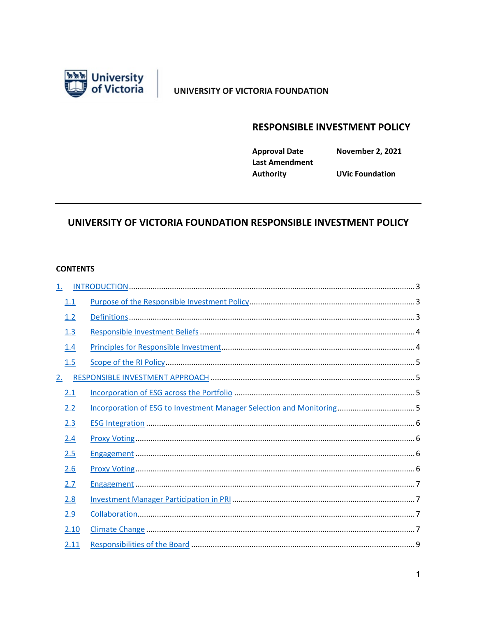

## UNIVERSITY OF VICTORIA FOUNDATION

# **RESPONSIBLE INVESTMENT POLICY**

**Approval Date Last Amendment Authority** 

**November 2, 2021** 

**UVic Foundation** 

## UNIVERSITY OF VICTORIA FOUNDATION RESPONSIBLE INVESTMENT POLICY

#### **CONTENTS**

| 1.  |      |  |
|-----|------|--|
| 1.1 |      |  |
| 1.2 |      |  |
| 1.3 |      |  |
| 1.4 |      |  |
| 1.5 |      |  |
| 2.  |      |  |
| 2.1 |      |  |
| 2.2 |      |  |
| 2.3 |      |  |
| 2.4 |      |  |
| 2.5 |      |  |
| 2.6 |      |  |
| 2.7 |      |  |
| 2.8 |      |  |
| 2.9 |      |  |
|     | 2.10 |  |
|     | 2.11 |  |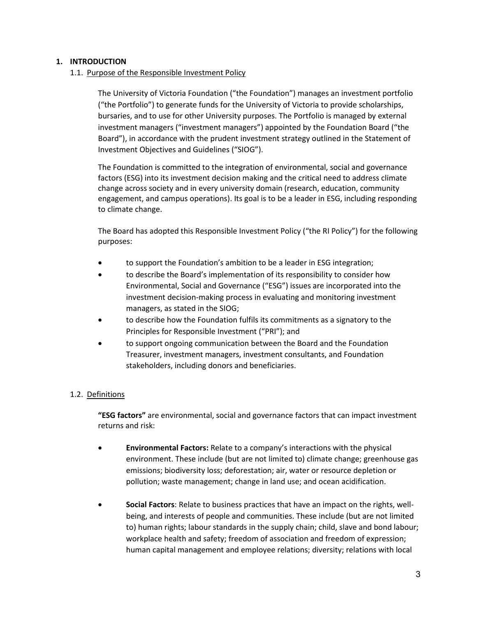#### <span id="page-2-1"></span><span id="page-2-0"></span>**1. INTRODUCTION**

1.1. Purpose of the Responsible Investment Policy

The University of Victoria Foundation ("the Foundation") manages an investment portfolio ("the Portfolio") to generate funds for the University of Victoria to provide scholarships, bursaries, and to use for other University purposes. The Portfolio is managed by external investment managers ("investment managers") appointed by the Foundation Board ("the Board"), in accordance with the prudent investment strategy outlined in the Statement of Investment Objectives and Guidelines ("SIOG").

The Foundation is committed to the integration of environmental, social and governance factors (ESG) into its investment decision making and the critical need to address climate change across society and in every university domain (research, education, community engagement, and campus operations). Its goal is to be a leader in ESG, including responding to climate change.

The Board has adopted this Responsible Investment Policy ("the RI Policy") for the following purposes:

- to support the Foundation's ambition to be a leader in ESG integration;
- to describe the Board's implementation of its responsibility to consider how Environmental, Social and Governance ("ESG") issues are incorporated into the investment decision-making process in evaluating and monitoring investment managers, as stated in the SIOG;
- to describe how the Foundation fulfils its commitments as a signatory to the Principles for Responsible Investment ("PRI"); and
- to support ongoing communication between the Board and the Foundation Treasurer, investment managers, investment consultants, and Foundation stakeholders, including donors and beneficiaries.

## <span id="page-2-2"></span>1.2. Definitions

**"ESG factors"** are environmental, social and governance factors that can impact investment returns and risk:

- **Environmental Factors:** Relate to a company's interactions with the physical environment. These include (but are not limited to) climate change; greenhouse gas emissions; biodiversity loss; deforestation; air, water or resource depletion or pollution; waste management; change in land use; and ocean acidification.
- **Social Factors**: Relate to business practices that have an impact on the rights, wellbeing, and interests of people and communities. These include (but are not limited to) human rights; labour standards in the supply chain; child, slave and bond labour; workplace health and safety; freedom of association and freedom of expression; human capital management and employee relations; diversity; relations with local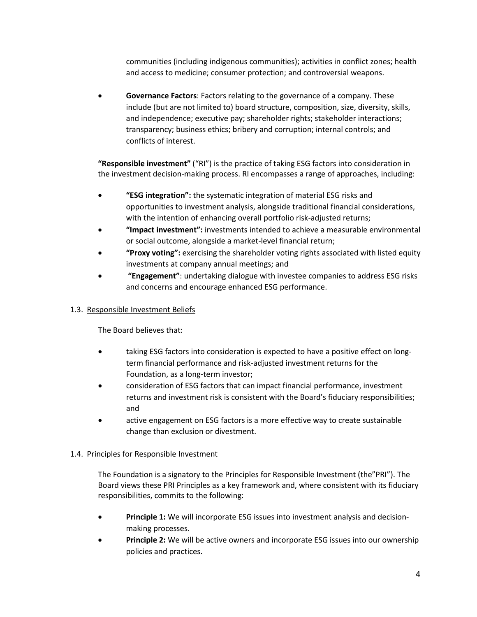communities (including indigenous communities); activities in conflict zones; health and access to medicine; consumer protection; and controversial weapons.

• **Governance Factors**: Factors relating to the governance of a company. These include (but are not limited to) board structure, composition, size, diversity, skills, and independence; executive pay; shareholder rights; stakeholder interactions; transparency; business ethics; bribery and corruption; internal controls; and conflicts of interest.

**"Responsible investment"** ("RI") is the practice of taking ESG factors into consideration in the investment decision-making process. RI encompasses a range of approaches, including:

- **"ESG integration":** the systematic integration of material ESG risks and opportunities to investment analysis, alongside traditional financial considerations, with the intention of enhancing overall portfolio risk-adjusted returns;
- **"Impact investment":** investments intended to achieve a measurable environmental or social outcome, alongside a market-level financial return;
- **"Proxy voting":** exercising the shareholder voting rights associated with listed equity investments at company annual meetings; and
- **"Engagement"**: undertaking dialogue with investee companies to address ESG risks and concerns and encourage enhanced ESG performance.

## <span id="page-3-0"></span>1.3. Responsible Investment Beliefs

The Board believes that:

- taking ESG factors into consideration is expected to have a positive effect on longterm financial performance and risk-adjusted investment returns for the Foundation, as a long-term investor;
- consideration of ESG factors that can impact financial performance, investment returns and investment risk is consistent with the Board's fiduciary responsibilities; and
- active engagement on ESG factors is a more effective way to create sustainable change than exclusion or divestment.

## <span id="page-3-1"></span>1.4. Principles for Responsible Investment

The Foundation is a signatory to the Principles for Responsible Investment (the"PRI"). The Board views these PRI Principles as a key framework and, where consistent with its fiduciary responsibilities, commits to the following:

- **Principle 1:** We will incorporate ESG issues into investment analysis and decisionmaking processes.
- **Principle 2:** We will be active owners and incorporate ESG issues into our ownership policies and practices.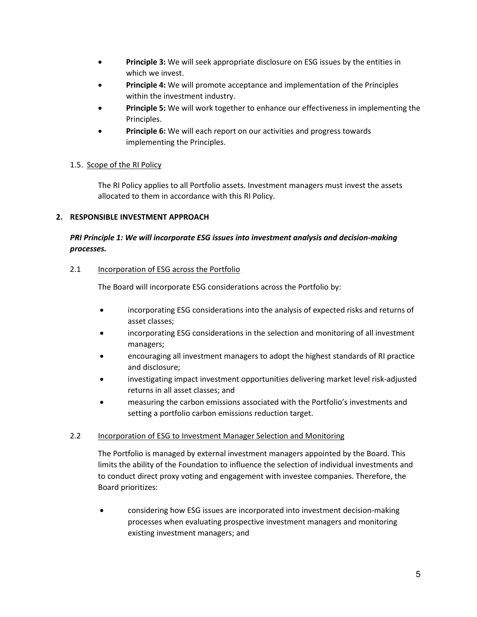- **Principle 3:** We will seek appropriate disclosure on ESG issues by the entities in which we invest.
- **Principle 4:** We will promote acceptance and implementation of the Principles within the investment industry.
- **Principle 5:** We will work together to enhance our effectiveness in implementing the Principles.
- **Principle 6:** We will each report on our activities and progress towards implementing the Principles.

## <span id="page-4-0"></span>1.5. Scope of the RI Policy

The RI Policy applies to all Portfolio assets. Investment managers must invest the assets allocated to them in accordance with this RI Policy.

#### <span id="page-4-1"></span>**2. RESPONSIBLE INVESTMENT APPROACH**

## *PRI Principle 1: We will incorporate ESG issues into investment analysis and decision-making processes.*

#### <span id="page-4-2"></span>2.1 Incorporation of ESG across the Portfolio

The Board will incorporate ESG considerations across the Portfolio by:

- incorporating ESG considerations into the analysis of expected risks and returns of asset classes;
- incorporating ESG considerations in the selection and monitoring of all investment managers;
- encouraging all investment managers to adopt the highest standards of RI practice and disclosure;
- investigating impact investment opportunities delivering market level risk-adjusted returns in all asset classes; and
- measuring the carbon emissions associated with the Portfolio's investments and setting a portfolio carbon emissions reduction target.

## <span id="page-4-3"></span>2.2 Incorporation of ESG to Investment Manager Selection and Monitoring

The Portfolio is managed by external investment managers appointed by the Board. This limits the ability of the Foundation to influence the selection of individual investments and to conduct direct proxy voting and engagement with investee companies. Therefore, the Board prioritizes:

• considering how ESG issues are incorporated into investment decision-making processes when evaluating prospective investment managers and monitoring existing investment managers; and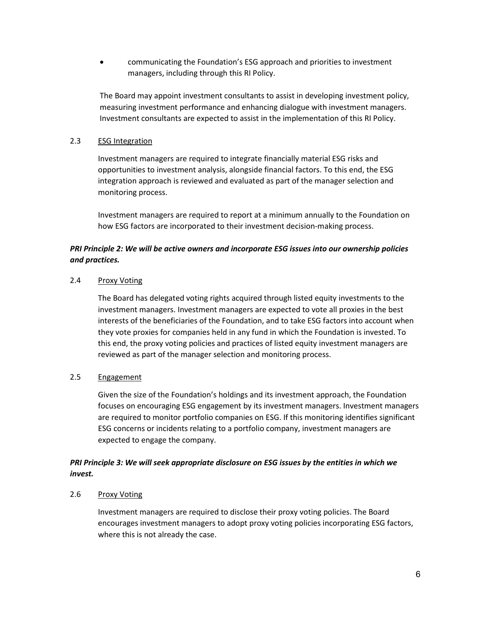• communicating the Foundation's ESG approach and priorities to investment managers, including through this RI Policy.

The Board may appoint investment consultants to assist in developing investment policy, measuring investment performance and enhancing dialogue with investment managers. Investment consultants are expected to assist in the implementation of this RI Policy.

#### <span id="page-5-0"></span>2.3 ESG Integration

Investment managers are required to integrate financially material ESG risks and opportunities to investment analysis, alongside financial factors. To this end, the ESG integration approach is reviewed and evaluated as part of the manager selection and monitoring process.

Investment managers are required to report at a minimum annually to the Foundation on how ESG factors are incorporated to their investment decision-making process.

## *PRI Principle 2: We will be active owners and incorporate ESG issues into our ownership policies and practices.*

#### <span id="page-5-1"></span>2.4 Proxy Voting

The Board has delegated voting rights acquired through listed equity investments to the investment managers. Investment managers are expected to vote all proxies in the best interests of the beneficiaries of the Foundation, and to take ESG factors into account when they vote proxies for companies held in any fund in which the Foundation is invested. To this end, the proxy voting policies and practices of listed equity investment managers are reviewed as part of the manager selection and monitoring process.

## <span id="page-5-2"></span>2.5 Engagement

Given the size of the Foundation's holdings and its investment approach, the Foundation focuses on encouraging ESG engagement by its investment managers. Investment managers are required to monitor portfolio companies on ESG. If this monitoring identifies significant ESG concerns or incidents relating to a portfolio company, investment managers are expected to engage the company.

## *PRI Principle 3: We will seek appropriate disclosure on ESG issues by the entities in which we invest.*

#### <span id="page-5-3"></span>2.6 Proxy Voting

Investment managers are required to disclose their proxy voting policies. The Board encourages investment managers to adopt proxy voting policies incorporating ESG factors, where this is not already the case.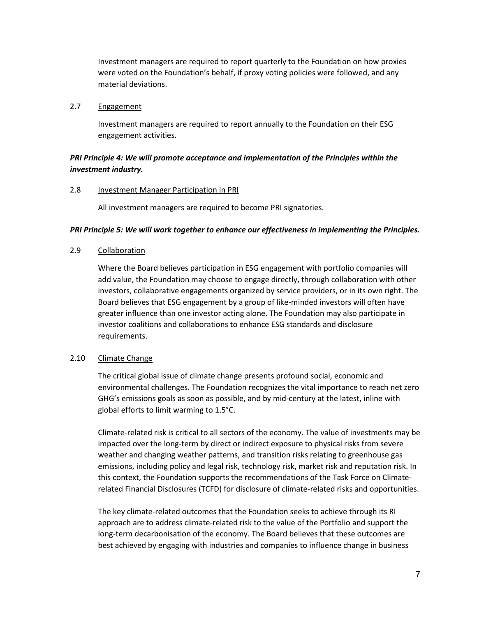Investment managers are required to report quarterly to the Foundation on how proxies were voted on the Foundation's behalf, if proxy voting policies were followed, and any material deviations.

#### <span id="page-6-0"></span>2.7 Engagement

Investment managers are required to report annually to the Foundation on their ESG engagement activities.

## *PRI Principle 4: We will promote acceptance and implementation of the Principles within the investment industry.*

#### <span id="page-6-1"></span>2.8 Investment Manager Participation in PRI

All investment managers are required to become PRI signatories.

#### *PRI Principle 5: We will work together to enhance our effectiveness in implementing the Principles.*

#### <span id="page-6-2"></span>2.9 Collaboration

Where the Board believes participation in ESG engagement with portfolio companies will add value, the Foundation may choose to engage directly, through collaboration with other investors, collaborative engagements organized by service providers, or in its own right. The Board believes that ESG engagement by a group of like-minded investors will often have greater influence than one investor acting alone. The Foundation may also participate in investor coalitions and collaborations to enhance ESG standards and disclosure requirements.

#### <span id="page-6-3"></span>2.10 Climate Change

The critical global issue of climate change presents profound social, economic and environmental challenges. The Foundation recognizes the vital importance to reach net zero GHG's emissions goals as soon as possible, and by mid-century at the latest, inline with global efforts to limit warming to 1.5°C.

Climate-related risk is critical to all sectors of the economy. The value of investments may be impacted over the long-term by direct or indirect exposure to physical risks from severe weather and changing weather patterns, and transition risks relating to greenhouse gas emissions, including policy and legal risk, technology risk, market risk and reputation risk. In this context, the Foundation supports the recommendations of the Task Force on Climaterelated Financial Disclosures (TCFD) for disclosure of climate-related risks and opportunities.

The key climate-related outcomes that the Foundation seeks to achieve through its RI approach are to address climate-related risk to the value of the Portfolio and support the long-term decarbonisation of the economy. The Board believes that these outcomes are best achieved by engaging with industries and companies to influence change in business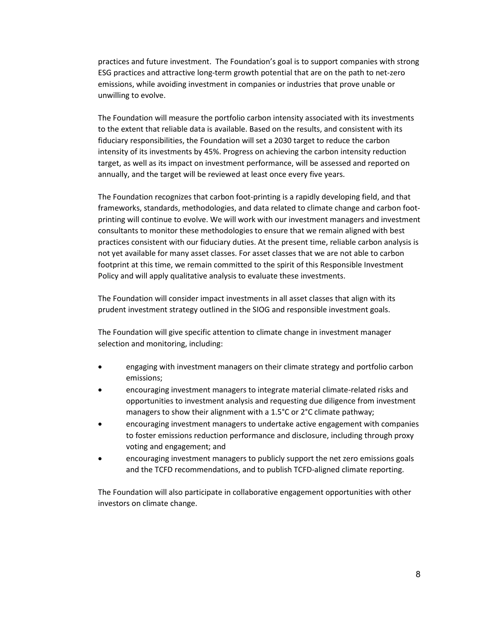practices and future investment. The Foundation's goal is to support companies with strong ESG practices and attractive long-term growth potential that are on the path to net-zero emissions, while avoiding investment in companies or industries that prove unable or unwilling to evolve.

The Foundation will measure the portfolio carbon intensity associated with its investments to the extent that reliable data is available. Based on the results, and consistent with its fiduciary responsibilities, the Foundation will set a 2030 target to reduce the carbon intensity of its investments by 45%. Progress on achieving the carbon intensity reduction target, as well as its impact on investment performance, will be assessed and reported on annually, and the target will be reviewed at least once every five years.

The Foundation recognizes that carbon foot-printing is a rapidly developing field, and that frameworks, standards, methodologies, and data related to climate change and carbon footprinting will continue to evolve. We will work with our investment managers and investment consultants to monitor these methodologies to ensure that we remain aligned with best practices consistent with our fiduciary duties. At the present time, reliable carbon analysis is not yet available for many asset classes. For asset classes that we are not able to carbon footprint at this time, we remain committed to the spirit of this Responsible Investment Policy and will apply qualitative analysis to evaluate these investments.

The Foundation will consider impact investments in all asset classes that align with its prudent investment strategy outlined in the SIOG and responsible investment goals.

The Foundation will give specific attention to climate change in investment manager selection and monitoring, including:

- engaging with investment managers on their climate strategy and portfolio carbon emissions;
- encouraging investment managers to integrate material climate-related risks and opportunities to investment analysis and requesting due diligence from investment managers to show their alignment with a 1.5°C or 2°C climate pathway;
- encouraging investment managers to undertake active engagement with companies to foster emissions reduction performance and disclosure, including through proxy voting and engagement; and
- encouraging investment managers to publicly support the net zero emissions goals and the TCFD recommendations, and to publish TCFD-aligned climate reporting.

<span id="page-7-0"></span>The Foundation will also participate in collaborative engagement opportunities with other investors on climate change.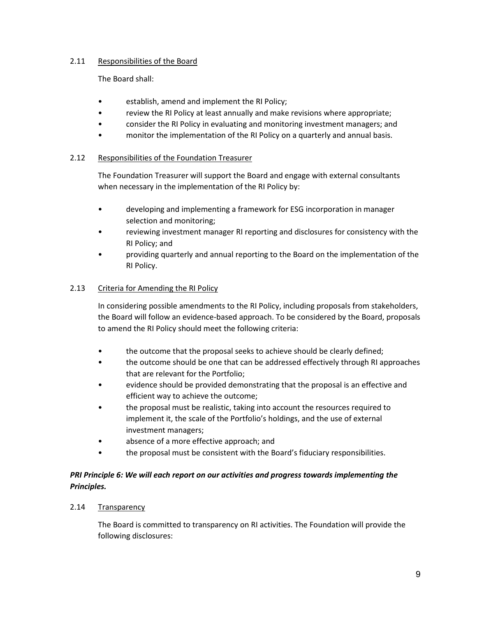## 2.11 Responsibilities of the Board

The Board shall:

- establish, amend and implement the RI Policy;
- review the RI Policy at least annually and make revisions where appropriate;
- consider the RI Policy in evaluating and monitoring investment managers; and
- monitor the implementation of the RI Policy on a quarterly and annual basis.

#### <span id="page-8-0"></span>2.12 Responsibilities of the Foundation Treasurer

The Foundation Treasurer will support the Board and engage with external consultants when necessary in the implementation of the RI Policy by:

- developing and implementing a framework for ESG incorporation in manager selection and monitoring;
- reviewing investment manager RI reporting and disclosures for consistency with the RI Policy; and
- providing quarterly and annual reporting to the Board on the implementation of the RI Policy.

#### <span id="page-8-1"></span>2.13 Criteria for Amending the RI Policy

In considering possible amendments to the RI Policy, including proposals from stakeholders, the Board will follow an evidence-based approach. To be considered by the Board, proposals to amend the RI Policy should meet the following criteria:

- the outcome that the proposal seeks to achieve should be clearly defined;
- the outcome should be one that can be addressed effectively through RI approaches that are relevant for the Portfolio;
- evidence should be provided demonstrating that the proposal is an effective and efficient way to achieve the outcome;
- the proposal must be realistic, taking into account the resources required to implement it, the scale of the Portfolio's holdings, and the use of external investment managers;
- absence of a more effective approach; and
- the proposal must be consistent with the Board's fiduciary responsibilities.

## *PRI Principle 6: We will each report on our activities and progress towards implementing the Principles.*

#### <span id="page-8-2"></span>2.14 Transparency

The Board is committed to transparency on RI activities. The Foundation will provide the following disclosures: